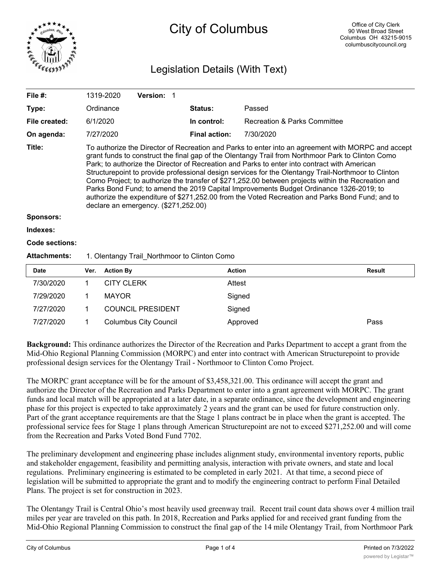

# City of Columbus

# Legislation Details (With Text)

| File $#$ :          |                                                                                                                                                                                                                                                                                                                                                                                                                                                                                                                                                                                                                                                                                                                                                           | 1319-2020         | Version: 1                   |             |                      |                              |               |  |
|---------------------|-----------------------------------------------------------------------------------------------------------------------------------------------------------------------------------------------------------------------------------------------------------------------------------------------------------------------------------------------------------------------------------------------------------------------------------------------------------------------------------------------------------------------------------------------------------------------------------------------------------------------------------------------------------------------------------------------------------------------------------------------------------|-------------------|------------------------------|-------------|----------------------|------------------------------|---------------|--|
| Type:               |                                                                                                                                                                                                                                                                                                                                                                                                                                                                                                                                                                                                                                                                                                                                                           | Ordinance         |                              | Status:     | Passed               |                              |               |  |
| File created:       |                                                                                                                                                                                                                                                                                                                                                                                                                                                                                                                                                                                                                                                                                                                                                           | 6/1/2020          |                              | In control: |                      | Recreation & Parks Committee |               |  |
| On agenda:          |                                                                                                                                                                                                                                                                                                                                                                                                                                                                                                                                                                                                                                                                                                                                                           | 7/27/2020         |                              |             | <b>Final action:</b> | 7/30/2020                    |               |  |
| Title:              | To authorize the Director of Recreation and Parks to enter into an agreement with MORPC and accept<br>grant funds to construct the final gap of the Olentangy Trail from Northmoor Park to Clinton Como<br>Park; to authorize the Director of Recreation and Parks to enter into contract with American<br>Structurepoint to provide professional design services for the Olentangy Trail-Northmoor to Clinton<br>Como Project; to authorize the transfer of \$271,252.00 between projects within the Recreation and<br>Parks Bond Fund; to amend the 2019 Capital Improvements Budget Ordinance 1326-2019; to<br>authorize the expenditure of \$271,252.00 from the Voted Recreation and Parks Bond Fund; and to<br>declare an emergency. (\$271,252.00) |                   |                              |             |                      |                              |               |  |
| <b>Sponsors:</b>    |                                                                                                                                                                                                                                                                                                                                                                                                                                                                                                                                                                                                                                                                                                                                                           |                   |                              |             |                      |                              |               |  |
| Indexes:            |                                                                                                                                                                                                                                                                                                                                                                                                                                                                                                                                                                                                                                                                                                                                                           |                   |                              |             |                      |                              |               |  |
| Code sections:      |                                                                                                                                                                                                                                                                                                                                                                                                                                                                                                                                                                                                                                                                                                                                                           |                   |                              |             |                      |                              |               |  |
| <b>Attachments:</b> | 1. Olentangy Trail_Northmoor to Clinton Como                                                                                                                                                                                                                                                                                                                                                                                                                                                                                                                                                                                                                                                                                                              |                   |                              |             |                      |                              |               |  |
| <b>Date</b>         | Ver.                                                                                                                                                                                                                                                                                                                                                                                                                                                                                                                                                                                                                                                                                                                                                      | <b>Action By</b>  |                              |             |                      | <b>Action</b>                | <b>Result</b> |  |
| 7/30/2020           | 1                                                                                                                                                                                                                                                                                                                                                                                                                                                                                                                                                                                                                                                                                                                                                         | <b>CITY CLERK</b> |                              |             |                      | Attest                       |               |  |
| 7/29/2020           | 1                                                                                                                                                                                                                                                                                                                                                                                                                                                                                                                                                                                                                                                                                                                                                         | <b>MAYOR</b>      |                              |             |                      | Signed                       |               |  |
| 7/27/2020           | 1                                                                                                                                                                                                                                                                                                                                                                                                                                                                                                                                                                                                                                                                                                                                                         |                   | <b>COUNCIL PRESIDENT</b>     |             |                      | Signed                       |               |  |
| 7/27/2020           | 1                                                                                                                                                                                                                                                                                                                                                                                                                                                                                                                                                                                                                                                                                                                                                         |                   | <b>Columbus City Council</b> |             |                      | Approved                     | Pass          |  |

**Background:** This ordinance authorizes the Director of the Recreation and Parks Department to accept a grant from the Mid-Ohio Regional Planning Commission (MORPC) and enter into contract with American Structurepoint to provide professional design services for the Olentangy Trail - Northmoor to Clinton Como Project.

The MORPC grant acceptance will be for the amount of \$3,458,321.00. This ordinance will accept the grant and authorize the Director of the Recreation and Parks Department to enter into a grant agreement with MORPC. The grant funds and local match will be appropriated at a later date, in a separate ordinance, since the development and engineering phase for this project is expected to take approximately 2 years and the grant can be used for future construction only. Part of the grant acceptance requirements are that the Stage 1 plans contract be in place when the grant is accepted. The professional service fees for Stage 1 plans through American Structurepoint are not to exceed \$271,252.00 and will come from the Recreation and Parks Voted Bond Fund 7702.

The preliminary development and engineering phase includes alignment study, environmental inventory reports, public and stakeholder engagement, feasibility and permitting analysis, interaction with private owners, and state and local regulations. Preliminary engineering is estimated to be completed in early 2021. At that time, a second piece of legislation will be submitted to appropriate the grant and to modify the engineering contract to perform Final Detailed Plans. The project is set for construction in 2023.

The Olentangy Trail is Central Ohio's most heavily used greenway trail. Recent trail count data shows over 4 million trail miles per year are traveled on this path. In 2018, Recreation and Parks applied for and received grant funding from the Mid-Ohio Regional Planning Commission to construct the final gap of the 14 mile Olentangy Trail, from Northmoor Park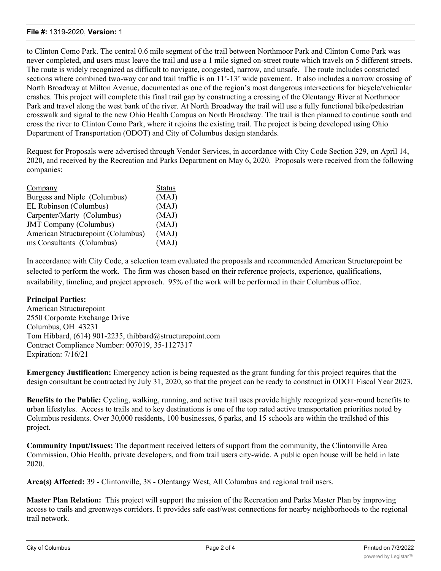#### **File #:** 1319-2020, **Version:** 1

to Clinton Como Park. The central 0.6 mile segment of the trail between Northmoor Park and Clinton Como Park was never completed, and users must leave the trail and use a 1 mile signed on-street route which travels on 5 different streets. The route is widely recognized as difficult to navigate, congested, narrow, and unsafe. The route includes constricted sections where combined two-way car and trail traffic is on 11'-13' wide pavement. It also includes a narrow crossing of North Broadway at Milton Avenue, documented as one of the region's most dangerous intersections for bicycle/vehicular crashes. This project will complete this final trail gap by constructing a crossing of the Olentangy River at Northmoor Park and travel along the west bank of the river. At North Broadway the trail will use a fully functional bike/pedestrian crosswalk and signal to the new Ohio Health Campus on North Broadway. The trail is then planned to continue south and cross the river to Clinton Como Park, where it rejoins the existing trail. The project is being developed using Ohio Department of Transportation (ODOT) and City of Columbus design standards.

Request for Proposals were advertised through Vendor Services, in accordance with City Code Section 329, on April 14, 2020, and received by the Recreation and Parks Department on May 6, 2020. Proposals were received from the following companies:

| Company                            | <b>Status</b> |
|------------------------------------|---------------|
| Burgess and Niple (Columbus)       | (MAJ)         |
| EL Robinson (Columbus)             | (MAJ)         |
| Carpenter/Marty (Columbus)         | (MAJ)         |
| <b>JMT Company (Columbus)</b>      | (MAJ)         |
| American Structurepoint (Columbus) | (MAJ)         |
| ms Consultants (Columbus)          | (MAJ)         |

In accordance with City Code, a selection team evaluated the proposals and recommended American Structurepoint be selected to perform the work. The firm was chosen based on their reference projects, experience, qualifications, availability, timeline, and project approach. 95% of the work will be performed in their Columbus office.

#### **Principal Parties:**

American Structurepoint 2550 Corporate Exchange Drive Columbus, OH 43231 Tom Hibbard, (614) 901-2235, thibbard@structurepoint.com Contract Compliance Number: 007019, 35-1127317 Expiration: 7/16/21

**Emergency Justification:** Emergency action is being requested as the grant funding for this project requires that the design consultant be contracted by July 31, 2020, so that the project can be ready to construct in ODOT Fiscal Year 2023.

**Benefits to the Public:** Cycling, walking, running, and active trail uses provide highly recognized year-round benefits to urban lifestyles. Access to trails and to key destinations is one of the top rated active transportation priorities noted by Columbus residents. Over 30,000 residents, 100 businesses, 6 parks, and 15 schools are within the trailshed of this project.

**Community Input/Issues:** The department received letters of support from the community, the Clintonville Area Commission, Ohio Health, private developers, and from trail users city-wide. A public open house will be held in late 2020.

**Area(s) Affected:** 39 - Clintonville, 38 - Olentangy West, All Columbus and regional trail users.

**Master Plan Relation:** This project will support the mission of the Recreation and Parks Master Plan by improving access to trails and greenways corridors. It provides safe east/west connections for nearby neighborhoods to the regional trail network.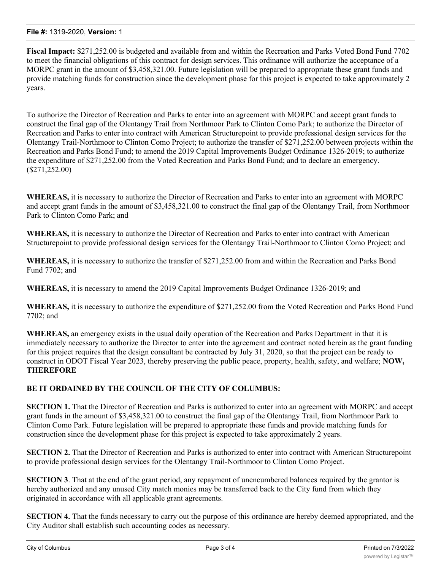#### **File #:** 1319-2020, **Version:** 1

**Fiscal Impact:** \$271,252.00 is budgeted and available from and within the Recreation and Parks Voted Bond Fund 7702 to meet the financial obligations of this contract for design services. This ordinance will authorize the acceptance of a MORPC grant in the amount of \$3,458,321.00. Future legislation will be prepared to appropriate these grant funds and provide matching funds for construction since the development phase for this project is expected to take approximately 2 years.

To authorize the Director of Recreation and Parks to enter into an agreement with MORPC and accept grant funds to construct the final gap of the Olentangy Trail from Northmoor Park to Clinton Como Park; to authorize the Director of Recreation and Parks to enter into contract with American Structurepoint to provide professional design services for the Olentangy Trail-Northmoor to Clinton Como Project; to authorize the transfer of \$271,252.00 between projects within the Recreation and Parks Bond Fund; to amend the 2019 Capital Improvements Budget Ordinance 1326-2019; to authorize the expenditure of \$271,252.00 from the Voted Recreation and Parks Bond Fund; and to declare an emergency. (\$271,252.00)

**WHEREAS,** it is necessary to authorize the Director of Recreation and Parks to enter into an agreement with MORPC and accept grant funds in the amount of \$3,458,321.00 to construct the final gap of the Olentangy Trail, from Northmoor Park to Clinton Como Park; and

**WHEREAS,** it is necessary to authorize the Director of Recreation and Parks to enter into contract with American Structurepoint to provide professional design services for the Olentangy Trail-Northmoor to Clinton Como Project; and

**WHEREAS,** it is necessary to authorize the transfer of \$271,252.00 from and within the Recreation and Parks Bond Fund 7702; and

**WHEREAS,** it is necessary to amend the 2019 Capital Improvements Budget Ordinance 1326-2019; and

**WHEREAS,** it is necessary to authorize the expenditure of \$271,252.00 from the Voted Recreation and Parks Bond Fund 7702; and

**WHEREAS,** an emergency exists in the usual daily operation of the Recreation and Parks Department in that it is immediately necessary to authorize the Director to enter into the agreement and contract noted herein as the grant funding for this project requires that the design consultant be contracted by July 31, 2020, so that the project can be ready to construct in ODOT Fiscal Year 2023, thereby preserving the public peace, property, health, safety, and welfare; **NOW, THEREFORE**

## **BE IT ORDAINED BY THE COUNCIL OF THE CITY OF COLUMBUS:**

**SECTION 1.** That the Director of Recreation and Parks is authorized to enter into an agreement with MORPC and accept grant funds in the amount of \$3,458,321.00 to construct the final gap of the Olentangy Trail, from Northmoor Park to Clinton Como Park. Future legislation will be prepared to appropriate these funds and provide matching funds for construction since the development phase for this project is expected to take approximately 2 years.

**SECTION 2.** That the Director of Recreation and Parks is authorized to enter into contract with American Structurepoint to provide professional design services for the Olentangy Trail-Northmoor to Clinton Como Project.

**SECTION 3**. That at the end of the grant period, any repayment of unencumbered balances required by the grantor is hereby authorized and any unused City match monies may be transferred back to the City fund from which they originated in accordance with all applicable grant agreements.

**SECTION 4.** That the funds necessary to carry out the purpose of this ordinance are hereby deemed appropriated, and the City Auditor shall establish such accounting codes as necessary.